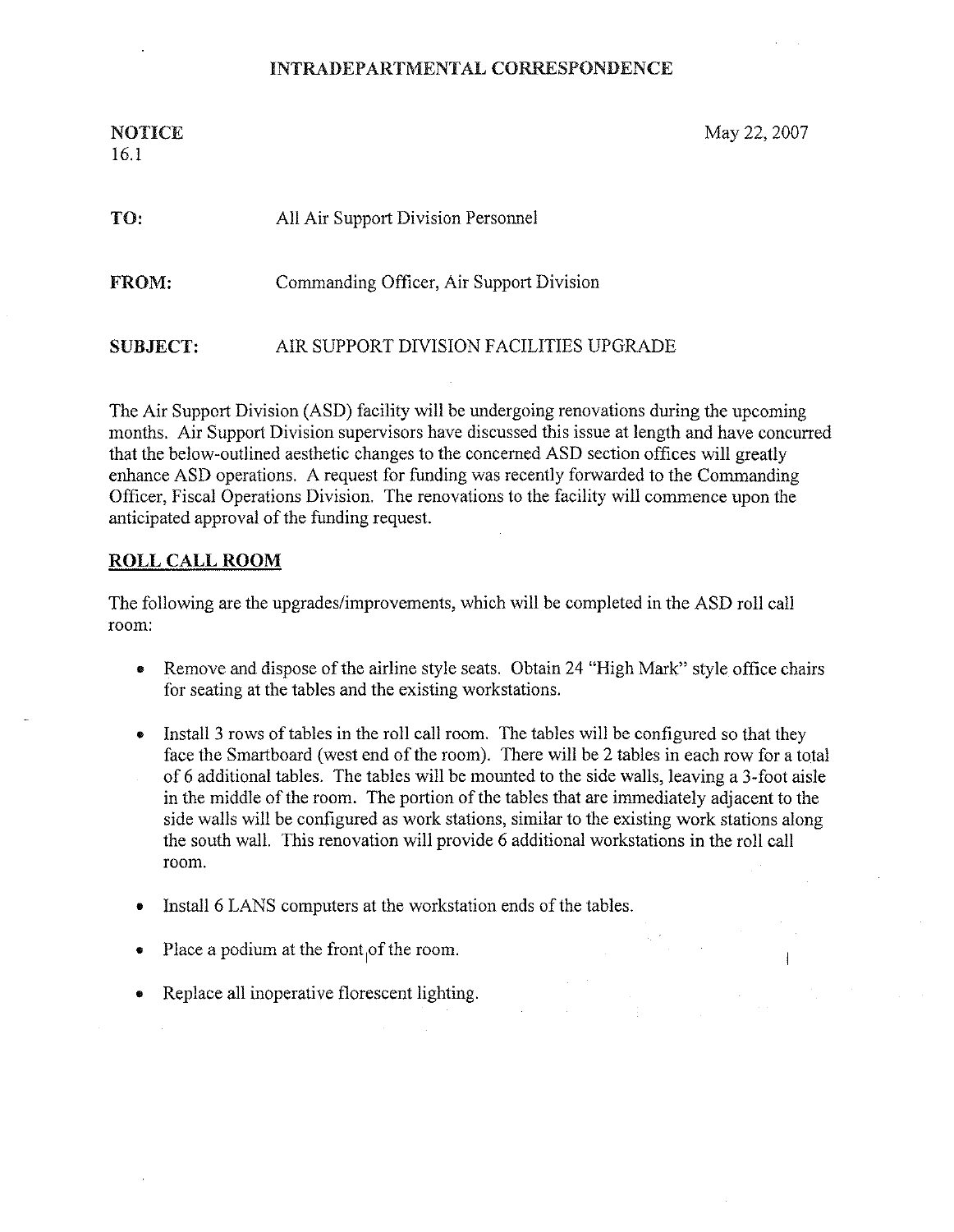## INTRADEPARTMENTAL CORRESPONDENCE

16.1

NOTICE May 22, 2007

| TO.             | All Air Support Division Personnel       |
|-----------------|------------------------------------------|
| FROM:           | Commanding Officer, Air Support Division |
| <b>SUBJECT:</b> | AIR SUPPORT DIVISION FACILITIES UPGRADE  |

The Air Support Division (ASD) facility will be undergoing renovations during the upcoming months. Air Support Division supervisors have discussed this issue at length and have concurred that the below-outlined aesthetic changes to the concerned ASD section offices will greatly enhance ASD operations. A request for funding was recently forwarded to the Commanding Officer, Fiscal Operations Division. The renovations to the facility will commence upon the anticipated approval of the funding request.

### ROLL CALL ROOM

The following are the upgrades/improvements, which will be completed in the ASD roll call room:

- Remove and dispose of the airline style seats. Obtain 24 "High Mark" style office chairs for seating at the tables and the existing workstations.
- Install 3 rows of tables in the roll call room. The tables will be configured so that they  $\bullet$ face the Smartboard (west end of the room). There will be 2 tables in each row for a total of 6 additional tables. The tables will be mounted to the side walls, leaving a 3-foot aisle in the middle of the room. The portion of the tables that are immediately adjacent to the side walls will be configured as work stations, similar to the existing work stations along the south wall. This renovation will provide 6 additional workstations in the roll call room.
- Install 6 LANS computers at the workstation ends of the tables.
- Place a podium at the front of the room.
- Replace all inoperative florescent lighting.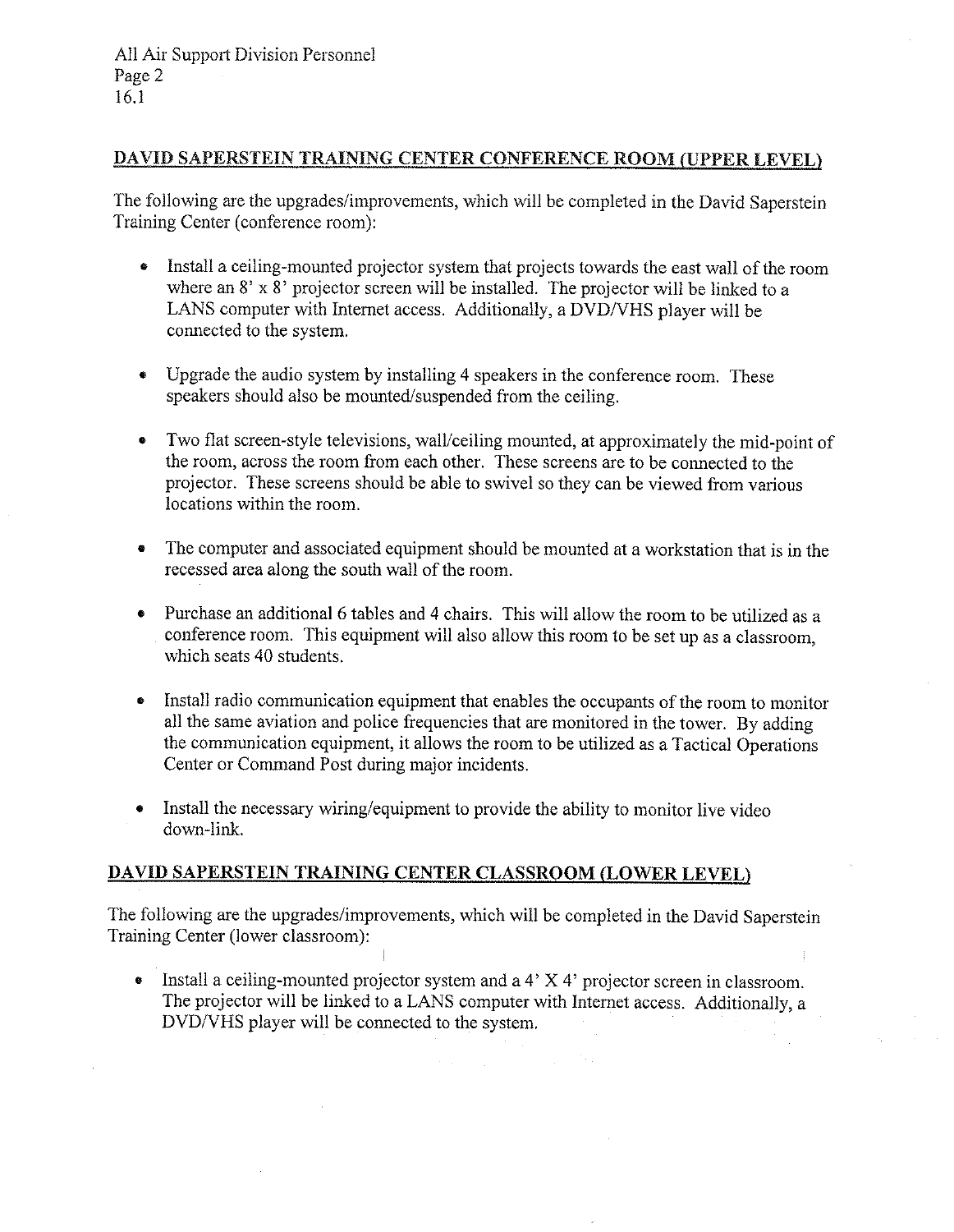All Air Support Division Personnel Page 2 16.1

## DAVID SAPERSTEIN TRAINING CENTER CONFERENCE ROOM (UPPER LEVEL)

The following are the upgrades/improvements, which will be completed in the David Saperstein Training Center (conference room):

- Install a ceiling-mounted projector system that projects towards the east wall of the room where an 8' x 8' projector screen will be installed. The projector will be linked to a LANS computer with Internet access. Additionally, a DVD/VHS player will be connected to the system.
- Upgrade the audio system by installing 4 speakers in the conference room. These speakers should also be mounted/suspended from the ceiling.
- Two flat screen-style televisions, wall/ceiling mounted, at approximately he mid-point of the room, across the room from each other. These screens are to be connected to the projector. These screens should be able to swivel so they can be viewed from various locations within the room.
- The computer and associated equipment should be mounted at a workstation that is in the recessed area along the south wall of the room.
- Purchase an additional 6 tables and 4 chairs. This will allow the room to be utilized as a conference room. This equipment will also allow this room to be set up as a classroom, which seats 40 students.
- Install radio communication equipment that enables the occupants of the room to monitor all the same aviation and police frequencies that are monitored in the tower. By adding the communication equipment, it allows the room to be utilized as a Tactical Operations Center or Command Post during major incidents.
- Install the necessary wiring/equipment to provide the ability to monitor live video down-link.

## DAVID SAPERSTEIN TRAINYNG CENTER CLASSROOM (LOWER LEVEL)

The following are the upgrades/improvements, which will be completed in the David Saperstein Training Center (lower classroom):

• Install a ceiling-mounted projector system and a 4' X 4' projector screen in classroom. The projector will be linked to a LANS computer with Internet access. Additionally, a DVD/VHS player will be connected to the system.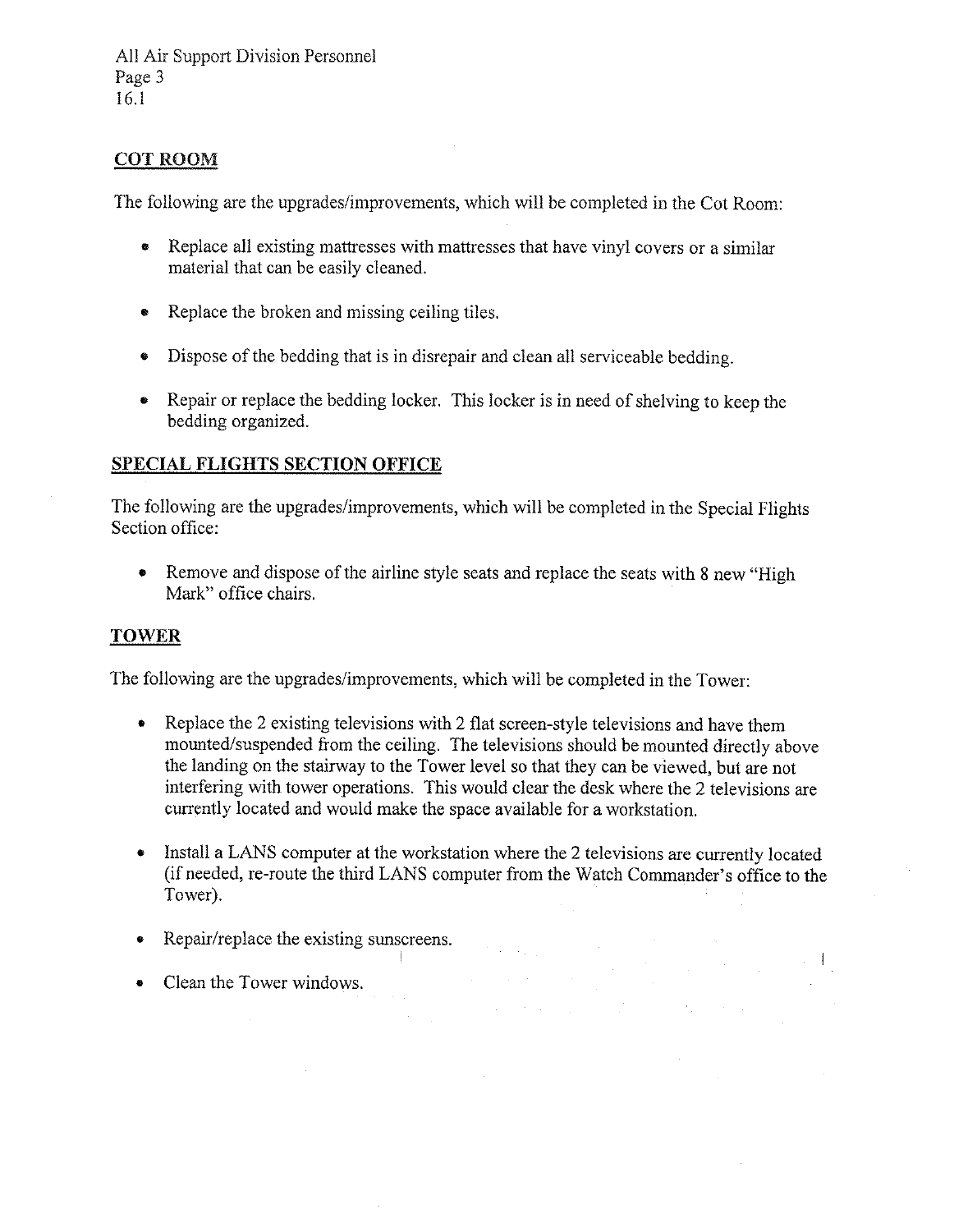# COT ROOM

The following are the upgrades/improvements, which will be completed in the Cot Room:

- Replace all existing mattresses with mattresses that have vinyl covers or a similar material that can be easily cleaned.
- Replace the broken and missing ceiling tiles.
- Dispose of the bedding that is in disrepair and clean all serviceable bedding.
- Repair or replace the bedding locker. This locker is in need of shelving to keep the bedding organized.

## SPECIAL FLIGHTS SECTION OFFICE

The following are the upgrades/improvements, which will be completed in the Special Flights Section office:

• Remove and dispose of the airline style seats and replace the seats with 8 new "High" Mark" office chairs.

### **TOWER**

The following are the upgrades/improvements, which will be completed in the Tower:

- Replace the 2 existing televisions with 2 flat screen-style televisions and have them mounted/suspended from the ceiling. The televisions should be mounted directly above the landing on the stairway to the Tower level so that they can be viewed, but are not interfering with tower operations. This would clear the desk where the 2 televisions are currently located and would make the space available for a workstation.
- Install a LANS computer at the workstation where the 2 televisions are currently located (if needed, re-route the third LANS computer from the Watch Commander's office to the Tower).

an di Kabupatén Sulawan<br>Kabupatén Sulawan Sulawa Sulawa Kabupatén Sulawa Kabupatén Sulawa Sulawa Kabupatén Sulawa Kabupatén Sulawa Ka

- Repair/replace the existing sunscreens.
- Clean the Tower windows.